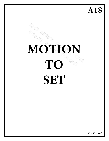**A18**

# **MOTION TO SET**

09/25/2015-A18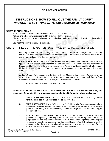# **SELF-SERVICE CENTER**

# **INSTRUCTIONS: HOW TO FILL OUT THE FAMILY COURT**  *"MOTION TO SET TRIAL DATE and Certificate of Readiness"*

## **USE THIS FORM ONLY** if

- There has been a petition **and** an answer/response filed in your case;
- At least one other party is represented by a lawyer but you are **not**;
- Discovery, the process of requesting and exchanging information among the parties before going to trial, is complete, AND
- You want the court to schedule a trial date.

# **STEP 1: FILL OUT THE** *"MOTION TO SET TRIAL DATE.* Print using **black ink only!**

In the top left corner of the first page fill in the information requested about you, the person filing this motion. If you are represented by an attorney, Stop! The attorney must be the one to file the motion (and will use his or her own form).

**Case Caption:** Fill in the name of the Petitioner and Respondent *and the case number* as they appear on the petition that originally started this case. Whoever was the Petitioner or Respondent for the filing of the original case remains Petitioner or Respondent for **all** other papers filed under this case number. Your case number *also* stays the same for any papers filed in your case.

**Judge's Name:** Fill in the name of the Judicial Officer (Judge or Commissioner) assigned to your case. If you do not know the name of the judge assigned to your case, call Family Court Administration at the court location where your case was filed to find out.

For cases filed in Safford, call 928-428-3100

## **INFORMATION ABOUT MY CASE. Read every line. Put an "X" in the box for every true statement. Be sure to fill in any blank spaces for additional information where applicable.**

- **1. SET MY CASE FOR TRIAL.** Put an "X" in this box if you want the court to set your case for trial. Then add a date your case will be ready for trial.
- **2. WE DO NOT AGREE.** Put an "X" in this box if a Petition **and** a Response or Answer have been filed. This tells the court that there are still disagreements between you and the other party, and a Hearing or Trial is necessary to settle the things you, and the other party, do not agree about.
- **3. CERTIFICATION OF READINESS FOR TRIAL.** Put an "X" in this box if *discovery*, the process of requesting and supplying information requested by other parties in preparation for trial, has been completed (or there has been enough time and no request for discovery have been made) and your Domestic Relations/Family Court case is ready to proceed to trial. If you have questions about *"discovery"*, you should ask a lawyer for help or research the local rules and requirements at a law library.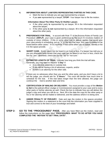## **4. INFORMATION ABOUT LAWYERS REPRESENTING PARTIES IN THIS CASE.**

- Mark the box to indicate you are not represented by a lawyer.
- If you **are** represented by a lawyer, **STOP!** Your lawyer has to file the motion.

## **Information About The Other Party Or His/Her Lawyer.**

- If the other party **is** represented by an lawyer, fill in the information requested about the lawyer;
- If the other party **is not** represented by a lawyer, fill in the information requested about the other party.
- **5. PREFERENCE FOR TRIAL.** In accord with Rule 77 of the Arizona Rules of Family Law Procedure (**ARFLP**), your case is given preference by the court if it involves matters of custody of minor children. If this or some other rule or statute applies that would give your case priority in scheduling, put an "X" in the box that says "this case is entitled to be heard before other cases." If it is not Rule 77 but some other rule or statute, identify or list it in the space provide.
- **6. SHORT CASE.** Some cases can be heard in an hour or less. If a lawyer has told you or you are otherwise fairly certain that your case can be heard in an hour or less, check the box for "yes"; otherwise, check the box for "no" or "not sure."
- **7. <b>ESTIMATED LENGTH OF TRIAL.** Indicate how long you think the trial will take. Generally, you may want to request "**1 Day**" if:
	- It is a divorce, paternity or custody trial,
	- If you will be having a lot of witnesses, experts, and/or
	- if there is an attorney for the other side.

If there are no witnesses other than you and the other party, and you don't have a lot to tell the judge, you should ask for "**2 Hours**." The court will decide how much time to schedule for the trial. If the trial takes longer than the time allowed, the judge can continue the trial to another date and time.

- **8. CERTIFICATION OF MAILING OR DELIVERY.** You must provide a copy of the *Motion to Set* to the judicial officer (Judge or Commissioner) assigned to your case and to every other party or his/her attorney as well. Check the box to indicate how you will deliver the judge's copy and when you will do so. Next, fill in the date the copy for the other party or his or her attorney will be mailed or delivered, and the address where it is being sent.
- **9. UNDER PENALTY OF PERJURY:** Date and sign the motion in the spaces provided. Signing this motion is a statement to the court that the information you have supplied is true and correct to the best of your knowledge and belief.
- **STEP 2: GO TO THE "PROCEDURES" PAGE.** After you have filled out the motion, read and follow the instructions on the page titled "**PROCEDURES: WHAT TO DO AFTER YOU HAVE COMPLETED THE** *"MOTION TO SET TRIAL DATE"***.**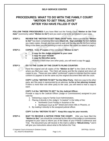## **SELF-SERVICE CENTER**

# **PROCEDURES: WHAT TO DO WITH THE FAMILY COURT**  *"MOTION TO SET TRIAL DATE"*  **AFTER YOU HAVE FILLED IT OUT**

**FOLLOW THESE PROCEDURES** if you have filled out the Family Court "*Motion to Set Trial* **Date**" (commonly called "Motion to Set") and you want a trial to be scheduled in your case.

**STEP 1: REVIEW THE** *"MOTION TO SET TRIAL DATE"* **form.**Make sure that the *"Motion to Set"* has been completely filled out in **black ink. Sign and date** the form **before** you make copies, though you may want to wait until the day you file the form before filling in the dates you are planning to mail or deliver the copies as stated on page 2.

## **STEP 2: COPIES.** Make **3\* copies** of the completed *"Motion to Set":*

- *1 copy for the Judge assigned to your case*
- *1 copy for your records*
- *1 copy for the other party. \*If there is more than one other party, you will need a copy for each.*

## **STEP 3: GO TO THE CLERK OF THE COURT'S FILING COUNTER:**

Hand the original and all copies of the *"Motion to Set"* to the Clerk of the Court where you filed your case. The Clerk will stamp and file the original and return all copies to you. These are now called "conformed" copies to indicate that the copies conform to (appear to be the same as) the original document filed with the court.

**COPY 1 of the** *"MOTION TO SET"* **for the Other Party.** Mail one copy to the other party, **or** *if the party is represented by an attorney*, **to his or her attorney instead**. If there is more than one other party to the case, you will need to mail a copy to each.

## **COPY 2 of the** *"MOTION TO SET"* **for the Judicial Officer.**

Provide a copy to the Judicial Officer (Judge or Commissioner) assigned to your case by:

- 1. Delivering a copy to Family Court Administration,
- 2. Placing it directly in the Judge's "in-basket" in the lobby of the:
	- Northwest Court Facility in Surprise or the
	- Northeast Court at 40<sup>th</sup> Street and Union Hills in Phoenix, or
- 3. By mailing it directly to the assigned judicial officer.

## **COPY 3 of the** *"MOTION TO SET":* **Keep this copy for your records.**

**STEP 4: WAIT TO RECEIVE A NOTICE FROM THE COURT.** After you have filed the *"Motion to Set,"* you should be contacted by the office of the judge or commissioner assigned to your case to inform you of the dates of your Pretrial Conference and Trial. The document you will receive in the mail is called a *"Minute Entry,"* and it will give you instructions about what to file before the Trial.

© Superior Court of Arizona In Graham County DRTP52p 031414 ALL RIGHTS RESERVED Page 1 of 1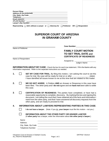|    |                    | Lawyer's Bar Number: 1997                                                                                                                                                                                                                                                                                                                                                                                |                                                                 | For Clerk's Use Only |
|----|--------------------|----------------------------------------------------------------------------------------------------------------------------------------------------------------------------------------------------------------------------------------------------------------------------------------------------------------------------------------------------------------------------------------------------------|-----------------------------------------------------------------|----------------------|
|    |                    | Representing $\Box$ Self, without a Lawyer or $\Box$ Attorney for $\Box$ Petitioner OR $\Box$ Respondent                                                                                                                                                                                                                                                                                                 |                                                                 |                      |
|    |                    |                                                                                                                                                                                                                                                                                                                                                                                                          |                                                                 |                      |
|    |                    | <b>SUPERIOR COURT OF ARIZONA</b>                                                                                                                                                                                                                                                                                                                                                                         |                                                                 |                      |
|    |                    | <b>IN GRAHAM COUNTY</b>                                                                                                                                                                                                                                                                                                                                                                                  |                                                                 |                      |
|    |                    |                                                                                                                                                                                                                                                                                                                                                                                                          |                                                                 |                      |
|    | Name of Petitioner |                                                                                                                                                                                                                                                                                                                                                                                                          | Case Number: ______________________                             |                      |
|    |                    |                                                                                                                                                                                                                                                                                                                                                                                                          | <b>FAMILY COURT MOTION</b>                                      |                      |
|    |                    |                                                                                                                                                                                                                                                                                                                                                                                                          | <b>TO SET TRIAL DATE and</b><br><b>CERTIFICATE OF READINESS</b> |                      |
|    | Name of Respondent |                                                                                                                                                                                                                                                                                                                                                                                                          |                                                                 |                      |
|    |                    |                                                                                                                                                                                                                                                                                                                                                                                                          | Assigned to: Judge's Name                                       |                      |
|    |                    | <b>INFORMATION ABOUT MY CASE:</b> Check the box for each true statement. Fill in the blanks with any<br>information requested. Refer to the separate instructions as needed.                                                                                                                                                                                                                             |                                                                 |                      |
| 1. | $\Box$             | SET MY CASE FOR TRIAL. By filing this motion, I am asking the court to set this<br>case for trial. My case will be ready for trial on or after<br>(data).<br>I have identified all issues known to me at this time that are related to this matter.                                                                                                                                                      |                                                                 |                      |
| 2. |                    | <b>WE DO NOT AGREE.</b> A Petition AND an Answer or Response in this case have<br>been filed. The other party and I do not agree and we have not been able to settle                                                                                                                                                                                                                                     |                                                                 |                      |
|    |                    | this case.                                                                                                                                                                                                                                                                                                                                                                                               |                                                                 |                      |
| 3. |                    | <b>CERTIFICATION OF READINESS:</b> The parties have completed, or have had a<br>reasonable opportunity to complete, discovery. By marking this box and signing this<br>document, I am telling the court that I have obtained all of the facts and information I<br>need from the other party, and that I have answered all discovery requests from the<br>other party, and am ready to proceed to trial. |                                                                 |                      |
| 4. |                    | <b>INFORMATION ABOUT LAWYERS REPRESENTING PARTIES IN THIS CASE:</b>                                                                                                                                                                                                                                                                                                                                      |                                                                 |                      |
|    |                    | I do not have a lawyer. (Note: If you $\underline{do}$ , your lawyer must file this motion – not you.)                                                                                                                                                                                                                                                                                                   |                                                                 |                      |
|    |                    | <b>INFORMATION ABOUT THE OTHER PARTY OR HIS/HER LAWYER</b>                                                                                                                                                                                                                                                                                                                                               |                                                                 |                      |

| <b>INFORMATION ABOUT THE OTHER PARTY OR HIS/HER LAWYER</b>                           |
|--------------------------------------------------------------------------------------|
| (If other party has a lawyer, enter the information about the other party's lawyer.) |

| Name:                  |  |
|------------------------|--|
| Address:               |  |
| City, State, Zip Code: |  |
| Telephone Number:      |  |